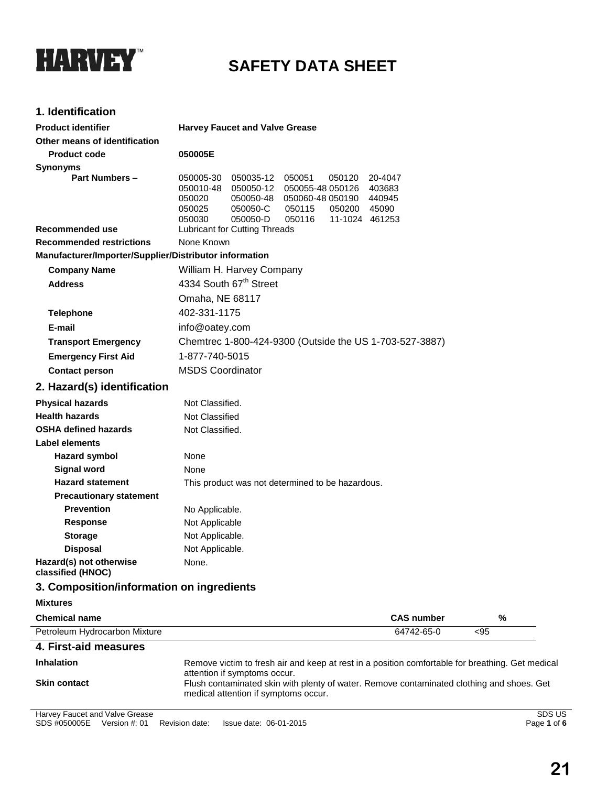

# **SAFETY DATA SHEET**

## **1. Identification**

| <b>Product identifier</b>                              | <b>Harvey Faucet and Valve Grease</b>                                                                                                                                                                                                                                   |  |  |
|--------------------------------------------------------|-------------------------------------------------------------------------------------------------------------------------------------------------------------------------------------------------------------------------------------------------------------------------|--|--|
| Other means of identification                          |                                                                                                                                                                                                                                                                         |  |  |
| <b>Product code</b>                                    | 050005E                                                                                                                                                                                                                                                                 |  |  |
| <b>Synonyms</b>                                        |                                                                                                                                                                                                                                                                         |  |  |
| <b>Part Numbers -</b>                                  | 050051<br>20-4047<br>050005-30<br>050035-12<br>050120<br>050010-48<br>050050-12<br>050055-48 050126<br>403683<br>050020<br>050050-48<br>050060-48 050190<br>440945<br>050025<br>050050-C<br>050115<br>050200<br>45090<br>050050-D<br>050116<br>050030<br>11-1024 461253 |  |  |
| Recommended use                                        | <b>Lubricant for Cutting Threads</b>                                                                                                                                                                                                                                    |  |  |
| <b>Recommended restrictions</b>                        | None Known                                                                                                                                                                                                                                                              |  |  |
| Manufacturer/Importer/Supplier/Distributor information |                                                                                                                                                                                                                                                                         |  |  |
| <b>Company Name</b>                                    | William H. Harvey Company                                                                                                                                                                                                                                               |  |  |
| <b>Address</b>                                         | 4334 South 67 <sup>th</sup> Street                                                                                                                                                                                                                                      |  |  |
|                                                        | Omaha, NE 68117                                                                                                                                                                                                                                                         |  |  |
| <b>Telephone</b>                                       | 402-331-1175                                                                                                                                                                                                                                                            |  |  |
| E-mail                                                 | info@oatey.com                                                                                                                                                                                                                                                          |  |  |
| <b>Transport Emergency</b>                             | Chemtrec 1-800-424-9300 (Outside the US 1-703-527-3887)                                                                                                                                                                                                                 |  |  |
| <b>Emergency First Aid</b>                             | 1-877-740-5015                                                                                                                                                                                                                                                          |  |  |
| <b>Contact person</b>                                  | <b>MSDS Coordinator</b>                                                                                                                                                                                                                                                 |  |  |
| 2. Hazard(s) identification                            |                                                                                                                                                                                                                                                                         |  |  |
| <b>Physical hazards</b>                                | Not Classified.                                                                                                                                                                                                                                                         |  |  |
| <b>Health hazards</b>                                  | Not Classified                                                                                                                                                                                                                                                          |  |  |
| <b>OSHA defined hazards</b>                            | Not Classified.                                                                                                                                                                                                                                                         |  |  |
| Label elements                                         |                                                                                                                                                                                                                                                                         |  |  |
| <b>Hazard symbol</b>                                   | None                                                                                                                                                                                                                                                                    |  |  |
| <b>Signal word</b>                                     | None                                                                                                                                                                                                                                                                    |  |  |
| <b>Hazard statement</b>                                | This product was not determined to be hazardous.                                                                                                                                                                                                                        |  |  |
| <b>Precautionary statement</b>                         |                                                                                                                                                                                                                                                                         |  |  |
| <b>Prevention</b>                                      | No Applicable.                                                                                                                                                                                                                                                          |  |  |
| <b>Response</b>                                        | Not Applicable                                                                                                                                                                                                                                                          |  |  |
| <b>Storage</b>                                         | Not Applicable.                                                                                                                                                                                                                                                         |  |  |
| <b>Disposal</b>                                        | Not Applicable.                                                                                                                                                                                                                                                         |  |  |
| Hazard(s) not otherwise<br>classified (HNOC)           | None.                                                                                                                                                                                                                                                                   |  |  |
| 3. Composition/information on ingredients              |                                                                                                                                                                                                                                                                         |  |  |
| <b>Mixtures</b>                                        |                                                                                                                                                                                                                                                                         |  |  |
| <b>Chemical name</b>                                   | <b>CAS number</b><br>%                                                                                                                                                                                                                                                  |  |  |
| Petroleum Hydrocarbon Mixture                          | 64742-65-0<br>< 95                                                                                                                                                                                                                                                      |  |  |
| 4. First-aid measures                                  |                                                                                                                                                                                                                                                                         |  |  |
| <b>Inhalation</b>                                      | Remove victim to fresh air and keep at rest in a position comfortable for breathing. Get medical                                                                                                                                                                        |  |  |
| <b>Skin contact</b>                                    | attention if symptoms occur.<br>Flush contaminated skin with plenty of water. Remove contaminated clothing and shoes. Get<br>medical attention if symptoms occur.                                                                                                       |  |  |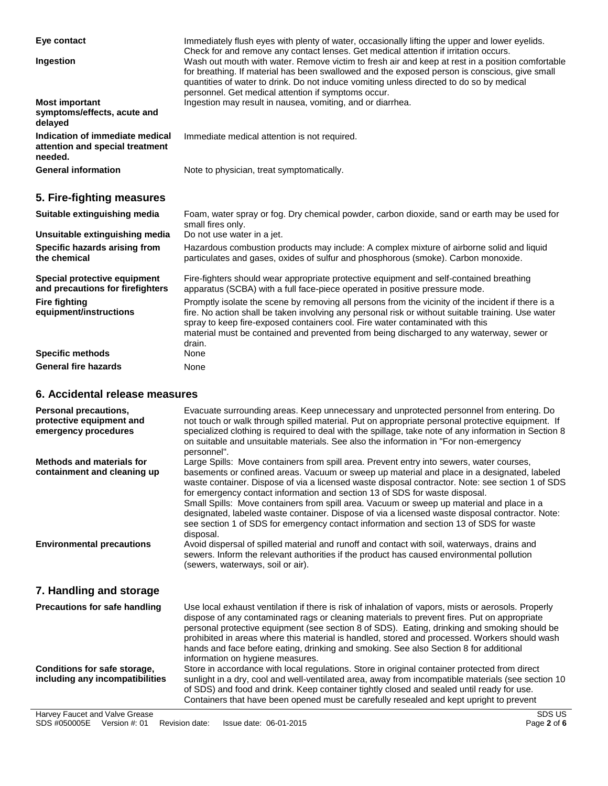| Eye contact                                                                   | Immediately flush eyes with plenty of water, occasionally lifting the upper and lower eyelids.<br>Check for and remove any contact lenses. Get medical attention if irritation occurs.                                                                                                                                                                                                          |
|-------------------------------------------------------------------------------|-------------------------------------------------------------------------------------------------------------------------------------------------------------------------------------------------------------------------------------------------------------------------------------------------------------------------------------------------------------------------------------------------|
| Ingestion                                                                     | Wash out mouth with water. Remove victim to fresh air and keep at rest in a position comfortable<br>for breathing. If material has been swallowed and the exposed person is conscious, give small<br>quantities of water to drink. Do not induce vomiting unless directed to do so by medical<br>personnel. Get medical attention if symptoms occur.                                            |
| <b>Most important</b><br>symptoms/effects, acute and<br>delayed               | Ingestion may result in nausea, vomiting, and or diarrhea.                                                                                                                                                                                                                                                                                                                                      |
| Indication of immediate medical<br>attention and special treatment<br>needed. | Immediate medical attention is not required.                                                                                                                                                                                                                                                                                                                                                    |
| <b>General information</b>                                                    | Note to physician, treat symptomatically.                                                                                                                                                                                                                                                                                                                                                       |
| 5. Fire-fighting measures                                                     |                                                                                                                                                                                                                                                                                                                                                                                                 |
| Suitable extinguishing media                                                  | Foam, water spray or fog. Dry chemical powder, carbon dioxide, sand or earth may be used for<br>small fires only.                                                                                                                                                                                                                                                                               |
| Unsuitable extinguishing media                                                | Do not use water in a jet.                                                                                                                                                                                                                                                                                                                                                                      |
| Specific hazards arising from<br>the chemical                                 | Hazardous combustion products may include: A complex mixture of airborne solid and liquid<br>particulates and gases, oxides of sulfur and phosphorous (smoke). Carbon monoxide.                                                                                                                                                                                                                 |
| Special protective equipment<br>and precautions for firefighters              | Fire-fighters should wear appropriate protective equipment and self-contained breathing<br>apparatus (SCBA) with a full face-piece operated in positive pressure mode.                                                                                                                                                                                                                          |
| <b>Fire fighting</b><br>equipment/instructions                                | Promptly isolate the scene by removing all persons from the vicinity of the incident if there is a<br>fire. No action shall be taken involving any personal risk or without suitable training. Use water<br>spray to keep fire-exposed containers cool. Fire water contaminated with this<br>material must be contained and prevented from being discharged to any waterway, sewer or<br>drain. |
| <b>Specific methods</b>                                                       | None                                                                                                                                                                                                                                                                                                                                                                                            |
| <b>General fire hazards</b>                                                   | None                                                                                                                                                                                                                                                                                                                                                                                            |

### **6. Accidental release measures**

| Personal precautions,<br>protective equipment and<br>emergency procedures | Evacuate surrounding areas. Keep unnecessary and unprotected personnel from entering. Do<br>not touch or walk through spilled material. Put on appropriate personal protective equipment. If<br>specialized clothing is required to deal with the spillage, take note of any information in Section 8<br>on suitable and unsuitable materials. See also the information in "For non-emergency<br>personnel".                                                                                                                                                                                                                                                                      |
|---------------------------------------------------------------------------|-----------------------------------------------------------------------------------------------------------------------------------------------------------------------------------------------------------------------------------------------------------------------------------------------------------------------------------------------------------------------------------------------------------------------------------------------------------------------------------------------------------------------------------------------------------------------------------------------------------------------------------------------------------------------------------|
| Methods and materials for<br>containment and cleaning up                  | Large Spills: Move containers from spill area. Prevent entry into sewers, water courses,<br>basements or confined areas. Vacuum or sweep up material and place in a designated, labeled<br>waste container. Dispose of via a licensed waste disposal contractor. Note: see section 1 of SDS<br>for emergency contact information and section 13 of SDS for waste disposal.<br>Small Spills: Move containers from spill area. Vacuum or sweep up material and place in a<br>designated, labeled waste container. Dispose of via a licensed waste disposal contractor. Note:<br>see section 1 of SDS for emergency contact information and section 13 of SDS for waste<br>disposal. |
| <b>Environmental precautions</b>                                          | Avoid dispersal of spilled material and runoff and contact with soil, waterways, drains and<br>sewers. Inform the relevant authorities if the product has caused environmental pollution<br>(sewers, waterways, soil or air).                                                                                                                                                                                                                                                                                                                                                                                                                                                     |
| 7. Handling and storage                                                   |                                                                                                                                                                                                                                                                                                                                                                                                                                                                                                                                                                                                                                                                                   |
| <b>Precautions for safe handling</b>                                      | Use local exhaust ventilation if there is risk of inhalation of vapors, mists or aerosols. Properly<br>dispose of any contaminated rags or cleaning materials to prevent fires. Put on appropriate<br>personal protective equipment (see section 8 of SDS). Eating, drinking and smoking should be<br>prohibited in areas where this material is handled, stored and processed. Workers should wash<br>hands and face before eating, drinking and smoking. See also Section 8 for additional<br>information on hygiene measures.                                                                                                                                                  |
| Conditions for safe storage,<br>including any incompatibilities           | Store in accordance with local regulations. Store in original container protected from direct<br>sunlight in a dry, cool and well-ventilated area, away from incompatible materials (see section 10<br>of SDS) and food and drink. Keep container tightly closed and sealed until ready for use.<br>Containers that have been opened must be carefully resealed and kept upright to prevent                                                                                                                                                                                                                                                                                       |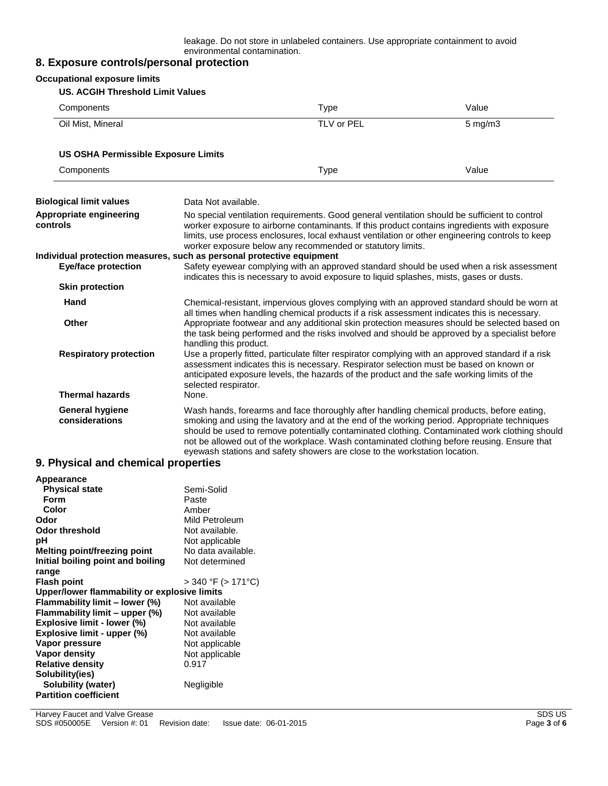leakage. Do not store in unlabeled containers. Use appropriate containment to avoid environmental contamination.

## **8. Exposure controls/personal protection**

| <b>Occupational exposure limits</b><br><b>US. ACGIH Threshold Limit Values</b>                      |                                                                                                                                                                                                                                                                                                                                                                                                                         |                                                                                                                                                                         |                                                                                                                                                                                                                                                                                             |
|-----------------------------------------------------------------------------------------------------|-------------------------------------------------------------------------------------------------------------------------------------------------------------------------------------------------------------------------------------------------------------------------------------------------------------------------------------------------------------------------------------------------------------------------|-------------------------------------------------------------------------------------------------------------------------------------------------------------------------|---------------------------------------------------------------------------------------------------------------------------------------------------------------------------------------------------------------------------------------------------------------------------------------------|
| Components                                                                                          |                                                                                                                                                                                                                                                                                                                                                                                                                         | <b>Type</b>                                                                                                                                                             | Value                                                                                                                                                                                                                                                                                       |
| Oil Mist, Mineral                                                                                   |                                                                                                                                                                                                                                                                                                                                                                                                                         | TLV or PEL                                                                                                                                                              | $5$ mg/m $3$                                                                                                                                                                                                                                                                                |
| <b>US OSHA Permissible Exposure Limits</b>                                                          |                                                                                                                                                                                                                                                                                                                                                                                                                         |                                                                                                                                                                         |                                                                                                                                                                                                                                                                                             |
| Components                                                                                          |                                                                                                                                                                                                                                                                                                                                                                                                                         | Type                                                                                                                                                                    | Value                                                                                                                                                                                                                                                                                       |
| <b>Biological limit values</b>                                                                      | Data Not available.                                                                                                                                                                                                                                                                                                                                                                                                     |                                                                                                                                                                         |                                                                                                                                                                                                                                                                                             |
| Appropriate engineering<br>controls                                                                 | No special ventilation requirements. Good general ventilation should be sufficient to control<br>worker exposure to airborne contaminants. If this product contains ingredients with exposure<br>limits, use process enclosures, local exhaust ventilation or other engineering controls to keep<br>worker exposure below any recommended or statutory limits.                                                          |                                                                                                                                                                         |                                                                                                                                                                                                                                                                                             |
| Individual protection measures, such as personal protective equipment<br><b>Eye/face protection</b> |                                                                                                                                                                                                                                                                                                                                                                                                                         | indicates this is necessary to avoid exposure to liquid splashes, mists, gases or dusts.                                                                                | Safety eyewear complying with an approved standard should be used when a risk assessment                                                                                                                                                                                                    |
| <b>Skin protection</b>                                                                              |                                                                                                                                                                                                                                                                                                                                                                                                                         |                                                                                                                                                                         |                                                                                                                                                                                                                                                                                             |
| Hand                                                                                                |                                                                                                                                                                                                                                                                                                                                                                                                                         | all times when handling chemical products if a risk assessment indicates this is necessary.                                                                             | Chemical-resistant, impervious gloves complying with an approved standard should be worn at                                                                                                                                                                                                 |
| <b>Other</b><br><b>Respiratory protection</b>                                                       | Appropriate footwear and any additional skin protection measures should be selected based on<br>the task being performed and the risks involved and should be approved by a specialist before<br>handling this product.<br>Use a properly fitted, particulate filter respirator complying with an approved standard if a risk<br>assessment indicates this is necessary. Respirator selection must be based on known or |                                                                                                                                                                         |                                                                                                                                                                                                                                                                                             |
| <b>Thermal hazards</b>                                                                              | selected respirator.<br>None.                                                                                                                                                                                                                                                                                                                                                                                           | anticipated exposure levels, the hazards of the product and the safe working limits of the                                                                              |                                                                                                                                                                                                                                                                                             |
| <b>General hygiene</b><br>considerations<br>Q. Physical and chamical proportios.                    |                                                                                                                                                                                                                                                                                                                                                                                                                         | Wash hands, forearms and face thoroughly after handling chemical products, before eating,<br>eyewash stations and safety showers are close to the workstation location. | smoking and using the lavatory and at the end of the working period. Appropriate techniques<br>should be used to remove potentially contaminated clothing. Contaminated work clothing should<br>not be allowed out of the workplace. Wash contaminated clothing before reusing. Ensure that |

#### **9. Physical and chemical properties**

| Appearance                                   |                    |  |  |
|----------------------------------------------|--------------------|--|--|
| <b>Physical state</b>                        | Semi-Solid         |  |  |
| Form                                         | Paste              |  |  |
| Color                                        | Amber              |  |  |
| Odor                                         | Mild Petroleum     |  |  |
| Odor threshold                               | Not available.     |  |  |
| рH                                           | Not applicable     |  |  |
| Melting point/freezing point                 | No data available. |  |  |
| Initial boiling point and boiling            | Not determined     |  |  |
| range                                        |                    |  |  |
| <b>Flash point</b>                           | > 340 °F (> 171°C) |  |  |
| Upper/lower flammability or explosive limits |                    |  |  |
| Flammability limit - lower (%)               | Not available      |  |  |
| Flammability limit - upper (%)               | Not available      |  |  |
| Explosive limit - lower (%)                  | Not available      |  |  |
| Explosive limit - upper (%)                  | Not available      |  |  |
| Vapor pressure                               | Not applicable     |  |  |
| Vapor density                                | Not applicable     |  |  |
| <b>Relative density</b>                      | 0.917              |  |  |
| Solubility(ies)                              |                    |  |  |
| Solubility (water)                           | Negligible         |  |  |
| <b>Partition coefficient</b>                 |                    |  |  |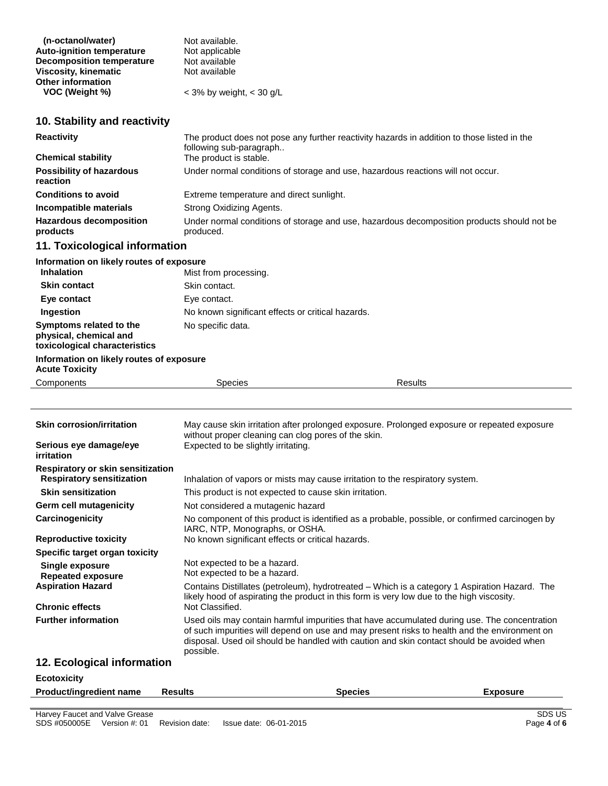| (n-octanol/water)                | Not available.               |
|----------------------------------|------------------------------|
| <b>Auto-ignition temperature</b> | Not applicable               |
| <b>Decomposition temperature</b> | Not available                |
| <b>Viscosity, kinematic</b>      | Not available                |
| <b>Other information</b>         |                              |
| VOC (Weight %)                   | $<$ 3% by weight, $<$ 30 g/L |

## **10. Stability and reactivity**

| <b>Reactivity</b>                           | The product does not pose any further reactivity hazards in addition to those listed in the<br>following sub-paragraph |
|---------------------------------------------|------------------------------------------------------------------------------------------------------------------------|
| <b>Chemical stability</b>                   | The product is stable.                                                                                                 |
| Possibility of hazardous<br><b>reaction</b> | Under normal conditions of storage and use, hazardous reactions will not occur.                                        |
| <b>Conditions to avoid</b>                  | Extreme temperature and direct sunlight.                                                                               |
| Incompatible materials                      | Strong Oxidizing Agents.                                                                                               |
| <b>Hazardous decomposition</b><br>products  | Under normal conditions of storage and use, hazardous decomposition products should not be<br>produced.                |
|                                             |                                                                                                                        |

## **11. Toxicological information**

| Information on likely routes of exposure                                           |                                                   |                |  |  |
|------------------------------------------------------------------------------------|---------------------------------------------------|----------------|--|--|
| <b>Inhalation</b>                                                                  | Mist from processing.                             |                |  |  |
| <b>Skin contact</b>                                                                | Skin contact.                                     |                |  |  |
| Eye contact                                                                        | Eye contact.                                      |                |  |  |
| <b>Ingestion</b>                                                                   | No known significant effects or critical hazards. |                |  |  |
| Symptoms related to the<br>physical, chemical and<br>toxicological characteristics | No specific data.                                 |                |  |  |
| Information on likely routes of exposure<br><b>Acute Toxicity</b>                  |                                                   |                |  |  |
| Components                                                                         | <b>Species</b>                                    | <b>Results</b> |  |  |

| <b>Skin corrosion/irritation</b><br>Serious eye damage/eye<br>irritation | May cause skin irritation after prolonged exposure. Prolonged exposure or repeated exposure<br>without proper cleaning can clog pores of the skin.<br>Expected to be slightly irritating.                                                                                                              |
|--------------------------------------------------------------------------|--------------------------------------------------------------------------------------------------------------------------------------------------------------------------------------------------------------------------------------------------------------------------------------------------------|
| Respiratory or skin sensitization<br><b>Respiratory sensitization</b>    | Inhalation of vapors or mists may cause irritation to the respiratory system.                                                                                                                                                                                                                          |
| <b>Skin sensitization</b>                                                | This product is not expected to cause skin irritation.                                                                                                                                                                                                                                                 |
| Germ cell mutagenicity                                                   | Not considered a mutagenic hazard                                                                                                                                                                                                                                                                      |
| Carcinogenicity                                                          | No component of this product is identified as a probable, possible, or confirmed carcinogen by<br>IARC, NTP, Monographs, or OSHA.                                                                                                                                                                      |
| <b>Reproductive toxicity</b>                                             | No known significant effects or critical hazards.                                                                                                                                                                                                                                                      |
| Specific target organ toxicity                                           |                                                                                                                                                                                                                                                                                                        |
| Single exposure<br><b>Repeated exposure</b>                              | Not expected to be a hazard.<br>Not expected to be a hazard.                                                                                                                                                                                                                                           |
| <b>Aspiration Hazard</b>                                                 | Contains Distillates (petroleum), hydrotreated – Which is a category 1 Aspiration Hazard. The<br>likely hood of aspirating the product in this form is very low due to the high viscosity.                                                                                                             |
| <b>Chronic effects</b>                                                   | Not Classified.                                                                                                                                                                                                                                                                                        |
| <b>Further information</b>                                               | Used oils may contain harmful impurities that have accumulated during use. The concentration<br>of such impurities will depend on use and may present risks to health and the environment on<br>disposal. Used oil should be handled with caution and skin contact should be avoided when<br>possible. |
| 12. Ecological information                                               |                                                                                                                                                                                                                                                                                                        |
| <b>Ecotoxicity</b>                                                       |                                                                                                                                                                                                                                                                                                        |

| <b>Product/ingredient name</b> | <b>Results</b> | Species | <b>Exposure</b> |
|--------------------------------|----------------|---------|-----------------|
|                                |                |         |                 |
| Harvey Faucet and Valve Grease |                |         | SDS US          |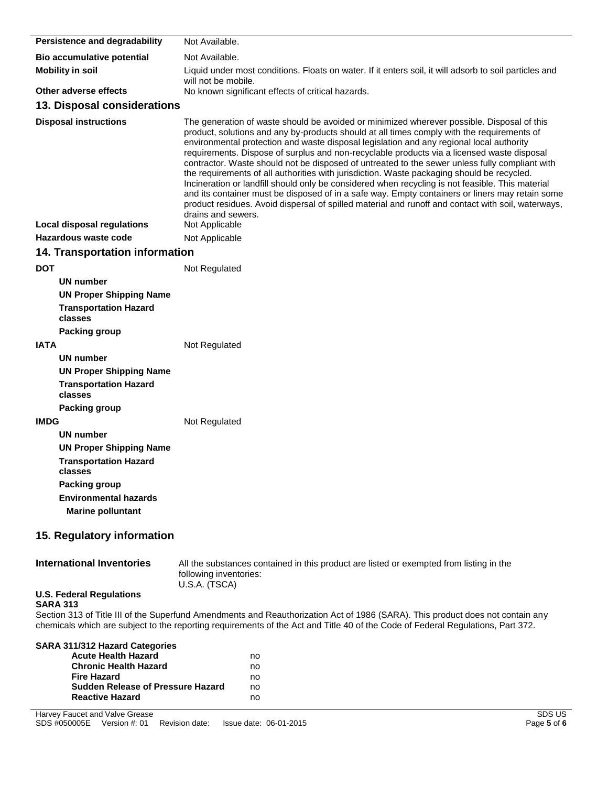| Persistence and degradability                            | Not Available.                                                                                                                                                                                                                                                                                                                                                                                                                                                                                                                                                                                                                                                                                                                                                                                                                                                                                                        |
|----------------------------------------------------------|-----------------------------------------------------------------------------------------------------------------------------------------------------------------------------------------------------------------------------------------------------------------------------------------------------------------------------------------------------------------------------------------------------------------------------------------------------------------------------------------------------------------------------------------------------------------------------------------------------------------------------------------------------------------------------------------------------------------------------------------------------------------------------------------------------------------------------------------------------------------------------------------------------------------------|
| Bio accumulative potential                               | Not Available.                                                                                                                                                                                                                                                                                                                                                                                                                                                                                                                                                                                                                                                                                                                                                                                                                                                                                                        |
| <b>Mobility in soil</b>                                  | Liquid under most conditions. Floats on water. If it enters soil, it will adsorb to soil particles and                                                                                                                                                                                                                                                                                                                                                                                                                                                                                                                                                                                                                                                                                                                                                                                                                |
| Other adverse effects                                    | will not be mobile.<br>No known significant effects of critical hazards.                                                                                                                                                                                                                                                                                                                                                                                                                                                                                                                                                                                                                                                                                                                                                                                                                                              |
| 13. Disposal considerations                              |                                                                                                                                                                                                                                                                                                                                                                                                                                                                                                                                                                                                                                                                                                                                                                                                                                                                                                                       |
| <b>Disposal instructions</b>                             | The generation of waste should be avoided or minimized wherever possible. Disposal of this<br>product, solutions and any by-products should at all times comply with the requirements of<br>environmental protection and waste disposal legislation and any regional local authority<br>requirements. Dispose of surplus and non-recyclable products via a licensed waste disposal<br>contractor. Waste should not be disposed of untreated to the sewer unless fully compliant with<br>the requirements of all authorities with jurisdiction. Waste packaging should be recycled.<br>Incineration or landfill should only be considered when recycling is not feasible. This material<br>and its container must be disposed of in a safe way. Empty containers or liners may retain some<br>product residues. Avoid dispersal of spilled material and runoff and contact with soil, waterways,<br>drains and sewers. |
| Local disposal regulations                               | Not Applicable                                                                                                                                                                                                                                                                                                                                                                                                                                                                                                                                                                                                                                                                                                                                                                                                                                                                                                        |
| Hazardous waste code                                     | Not Applicable                                                                                                                                                                                                                                                                                                                                                                                                                                                                                                                                                                                                                                                                                                                                                                                                                                                                                                        |
| <b>14. Transportation information</b>                    |                                                                                                                                                                                                                                                                                                                                                                                                                                                                                                                                                                                                                                                                                                                                                                                                                                                                                                                       |
| <b>DOT</b>                                               | Not Regulated                                                                                                                                                                                                                                                                                                                                                                                                                                                                                                                                                                                                                                                                                                                                                                                                                                                                                                         |
| <b>UN number</b>                                         |                                                                                                                                                                                                                                                                                                                                                                                                                                                                                                                                                                                                                                                                                                                                                                                                                                                                                                                       |
| <b>UN Proper Shipping Name</b>                           |                                                                                                                                                                                                                                                                                                                                                                                                                                                                                                                                                                                                                                                                                                                                                                                                                                                                                                                       |
| <b>Transportation Hazard</b><br>classes                  |                                                                                                                                                                                                                                                                                                                                                                                                                                                                                                                                                                                                                                                                                                                                                                                                                                                                                                                       |
| <b>Packing group</b>                                     |                                                                                                                                                                                                                                                                                                                                                                                                                                                                                                                                                                                                                                                                                                                                                                                                                                                                                                                       |
| <b>IATA</b>                                              | Not Regulated                                                                                                                                                                                                                                                                                                                                                                                                                                                                                                                                                                                                                                                                                                                                                                                                                                                                                                         |
| <b>UN number</b>                                         |                                                                                                                                                                                                                                                                                                                                                                                                                                                                                                                                                                                                                                                                                                                                                                                                                                                                                                                       |
| <b>UN Proper Shipping Name</b>                           |                                                                                                                                                                                                                                                                                                                                                                                                                                                                                                                                                                                                                                                                                                                                                                                                                                                                                                                       |
| <b>Transportation Hazard</b><br>classes                  |                                                                                                                                                                                                                                                                                                                                                                                                                                                                                                                                                                                                                                                                                                                                                                                                                                                                                                                       |
| <b>Packing group</b>                                     |                                                                                                                                                                                                                                                                                                                                                                                                                                                                                                                                                                                                                                                                                                                                                                                                                                                                                                                       |
| <b>IMDG</b>                                              | Not Regulated                                                                                                                                                                                                                                                                                                                                                                                                                                                                                                                                                                                                                                                                                                                                                                                                                                                                                                         |
| UN number                                                |                                                                                                                                                                                                                                                                                                                                                                                                                                                                                                                                                                                                                                                                                                                                                                                                                                                                                                                       |
| <b>UN Proper Shipping Name</b>                           |                                                                                                                                                                                                                                                                                                                                                                                                                                                                                                                                                                                                                                                                                                                                                                                                                                                                                                                       |
| <b>Transportation Hazard</b><br>classes                  |                                                                                                                                                                                                                                                                                                                                                                                                                                                                                                                                                                                                                                                                                                                                                                                                                                                                                                                       |
| <b>Packing group</b>                                     |                                                                                                                                                                                                                                                                                                                                                                                                                                                                                                                                                                                                                                                                                                                                                                                                                                                                                                                       |
| <b>Environmental hazards</b><br><b>Marine polluntant</b> |                                                                                                                                                                                                                                                                                                                                                                                                                                                                                                                                                                                                                                                                                                                                                                                                                                                                                                                       |
| 15. Regulatory information                               |                                                                                                                                                                                                                                                                                                                                                                                                                                                                                                                                                                                                                                                                                                                                                                                                                                                                                                                       |
| <b>International Inventories</b>                         | All the substances contained in this product are listed or exempted from listing in the<br>fallawing invantarion,                                                                                                                                                                                                                                                                                                                                                                                                                                                                                                                                                                                                                                                                                                                                                                                                     |

following inventories: U.S.A. (TSCA)

#### **U.S. Federal Regulations SARA 313**

Section 313 of Title III of the Superfund Amendments and Reauthorization Act of 1986 (SARA). This product does not contain any chemicals which are subject to the reporting requirements of the Act and Title 40 of the Code of Federal Regulations, Part 372.

| SARA 311/312 Hazard Categories           |    |
|------------------------------------------|----|
| <b>Acute Health Hazard</b>               | no |
| <b>Chronic Health Hazard</b>             | no |
| <b>Fire Hazard</b>                       | no |
| <b>Sudden Release of Pressure Hazard</b> | no |
| <b>Reactive Hazard</b>                   | no |